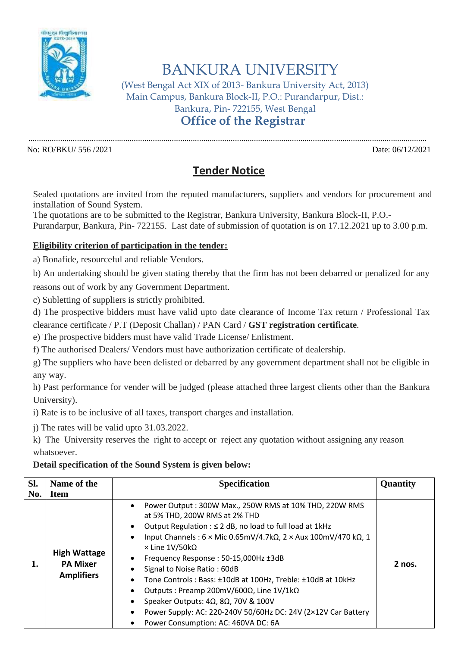

## BANKURA UNIVERSITY

(West Bengal Act XIX of 2013- Bankura University Act, 2013) Main Campus, Bankura Block-II, P.O.: Purandarpur, Dist.: Bankura, Pin- 722155, West Bengal **Office of the Registrar**

No: RO/BKU/ 556 /2021 Date: 06/12/2021

## **Tender Notice**

.............................................................................................................................................................................................

Sealed quotations are invited from the reputed manufacturers, suppliers and vendors for procurement and installation of Sound System.

The quotations are to be submitted to the Registrar, Bankura University, Bankura Block-II, P.O.- Purandarpur, Bankura, Pin- 722155. Last date of submission of quotation is on 17.12.2021 up to 3.00 p.m.

## **Eligibility criterion of participation in the tender:**

a) Bonafide, resourceful and reliable Vendors.

b) An undertaking should be given stating thereby that the firm has not been debarred or penalized for any reasons out of work by any Government Department.

c) Subletting of suppliers is strictly prohibited.

d) The prospective bidders must have valid upto date clearance of Income Tax return / Professional Tax clearance certificate / P.T (Deposit Challan) / PAN Card / **GST registration certificate**.

e) The prospective bidders must have valid Trade License/ Enlistment.

f) The authorised Dealers/ Vendors must have authorization certificate of dealership.

g) The suppliers who have been delisted or debarred by any government department shall not be eligible in any way.

h) Past performance for vender will be judged (please attached three largest clients other than the Bankura University).

i) Rate is to be inclusive of all taxes, transport charges and installation.

j) The rates will be valid upto 31.03.2022.

k) The University reserves the right to accept or reject any quotation without assigning any reason whatsoever.

## **Detail specification of the Sound System is given below:**

| SI. | Name of the                                                 | <b>Specification</b>                                                                                                                                                                                                                                                                                                                                                                                                                                                                                                                                                                                                                           | Quantity |
|-----|-------------------------------------------------------------|------------------------------------------------------------------------------------------------------------------------------------------------------------------------------------------------------------------------------------------------------------------------------------------------------------------------------------------------------------------------------------------------------------------------------------------------------------------------------------------------------------------------------------------------------------------------------------------------------------------------------------------------|----------|
| No. | <b>Item</b>                                                 |                                                                                                                                                                                                                                                                                                                                                                                                                                                                                                                                                                                                                                                |          |
| ı.  | <b>High Wattage</b><br><b>PA Mixer</b><br><b>Amplifiers</b> | Power Output: 300W Max., 250W RMS at 10% THD, 220W RMS<br>at 5% THD, 200W RMS at 2% THD<br>Output Regulation : ≤ 2 dB, no load to full load at 1kHz<br>Input Channels: $6 \times$ Mic 0.65mV/4.7k $\Omega$ , 2 $\times$ Aux 100mV/470 k $\Omega$ , 1<br>$\times$ Line 1V/50kQ<br>Frequency Response: 50-15,000Hz ±3dB<br>Signal to Noise Ratio: 60dB<br>Tone Controls: Bass: ±10dB at 100Hz, Treble: ±10dB at 10kHz<br>Outputs: Preamp 200mV/600 $\Omega$ , Line 1V/1k $\Omega$<br>Speaker Outputs: $4\Omega$ , $8\Omega$ , 70V & 100V<br>Power Supply: AC: 220-240V 50/60Hz DC: 24V (2×12V Car Battery<br>Power Consumption: AC: 460VA DC: 6A | 2 nos.   |